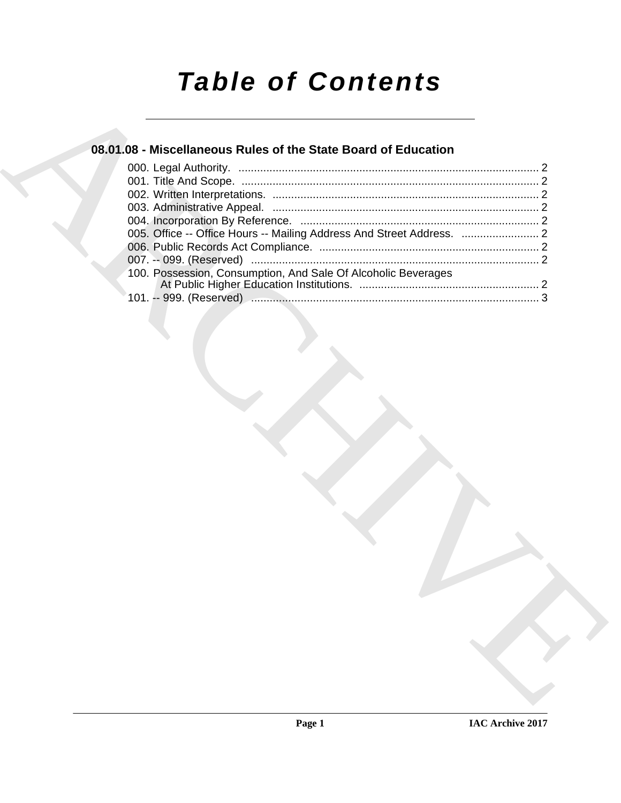# *Table of Contents*

### **08.01.08 - Miscellaneous Rules of the State Board of Education**

| 08.01.08 - Miscellaneous Rules of the State Board of Education |  |
|----------------------------------------------------------------|--|
|                                                                |  |
|                                                                |  |
|                                                                |  |
|                                                                |  |
|                                                                |  |
|                                                                |  |
|                                                                |  |
|                                                                |  |
| 100. Possession, Consumption, And Sale Of Alcoholic Beverages  |  |
|                                                                |  |
|                                                                |  |
|                                                                |  |
|                                                                |  |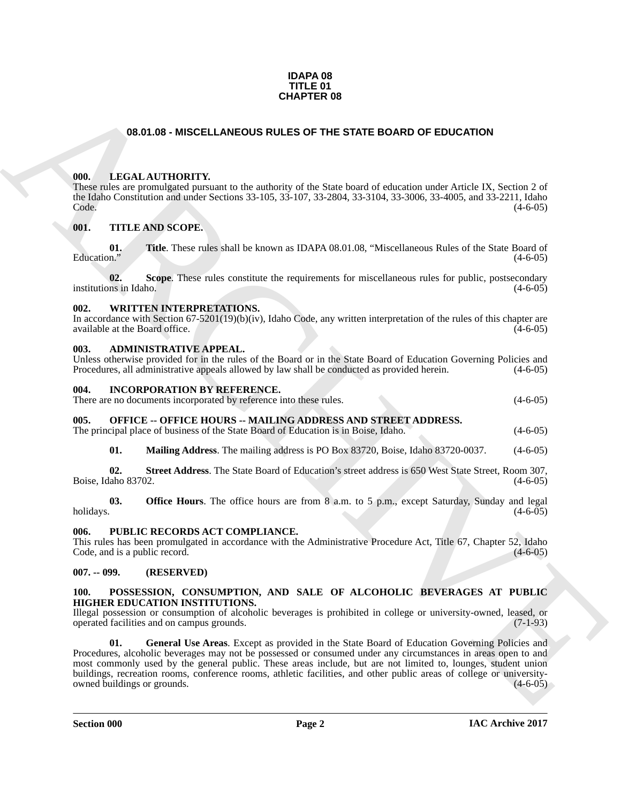#### **IDAPA 08 TITLE 01 CHAPTER 08**

#### **08.01.08 - MISCELLANEOUS RULES OF THE STATE BOARD OF EDUCATION**

#### <span id="page-1-1"></span><span id="page-1-0"></span>**000. LEGAL AUTHORITY.**

These rules are promulgated pursuant to the authority of the State board of education under Article IX, Section 2 of the Idaho Constitution and under Sections 33-105, 33-107, 33-2804, 33-3104, 33-3006, 33-4005, and 33-2211, Idaho<br>Code. (4-6-05) Code. (4-6-05)

#### <span id="page-1-2"></span>**001. TITLE AND SCOPE.**

**01.** Title. These rules shall be known as IDAPA 08.01.08, "Miscellaneous Rules of the State Board of Education." (4-6-05)  $\mu$  Education."  $(4-6-05)$ 

**02.** Scope. These rules constitute the requirements for miscellaneous rules for public, postsecondary ns in Idaho. (4-6-05) institutions in Idaho.

#### <span id="page-1-3"></span>**002. WRITTEN INTERPRETATIONS.**

In accordance with Section 67-5201(19)(b)(iv), Idaho Code, any written interpretation of the rules of this chapter are available at the Board office. (4-6-05)

#### <span id="page-1-4"></span>**003. ADMINISTRATIVE APPEAL.**

Unless otherwise provided for in the rules of the Board or in the State Board of Education Governing Policies and Procedures, all administrative appeals allowed by law shall be conducted as provided herein. (4-6-05)

#### <span id="page-1-5"></span>**004. INCORPORATION BY REFERENCE.**

There are no documents incorporated by reference into these rules. (4-6-05)

#### <span id="page-1-6"></span>**005. OFFICE -- OFFICE HOURS -- MAILING ADDRESS AND STREET ADDRESS.**

The principal place of business of the State Board of Education is in Boise, Idaho. (4-6-05)

**01. Mailing Address**. The mailing address is PO Box 83720, Boise, Idaho 83720-0037. (4-6-05)

**02. Street Address**. The State Board of Education's street address is 650 West State Street, Room 307, Boise, Idaho 83702. (4-6-05)

**03. Office Hours**. The office hours are from 8 a.m. to 5 p.m., except Saturday, Sunday and legal holidays. (4-6-05) holidays. (4-6-05)

#### <span id="page-1-7"></span>**006. PUBLIC RECORDS ACT COMPLIANCE.**

This rules has been promulgated in accordance with the Administrative Procedure Act, Title 67, Chapter 52, Idaho Code, and is a public record. (4-6-05) Code, and is a public record.

#### <span id="page-1-8"></span>**007. -- 099. (RESERVED)**

#### <span id="page-1-9"></span>**100. POSSESSION, CONSUMPTION, AND SALE OF ALCOHOLIC BEVERAGES AT PUBLIC HIGHER EDUCATION INSTITUTIONS.**

<span id="page-1-10"></span>Illegal possession or consumption of alcoholic beverages is prohibited in college or university-owned, leased, or operated facilities and on campus grounds. (7-1-93) operated facilities and on campus grounds.

**CHARCHIVE ON CHAPTER OS**<br> **CHARCHIVE CONTROVER THE STATE BOARD OF EDUCATION**<br>
THE SALEMONTIVE ON THE STATE BOARD OF EDUCATION<br>
THE SALEMONT CONTROVER THE SALEMONTARY CONTROVER THE SALEMONT CONTROVER THE SALEMONT CONTROVE **01. General Use Areas**. Except as provided in the State Board of Education Governing Policies and Procedures, alcoholic beverages may not be possessed or consumed under any circumstances in areas open to and most commonly used by the general public. These areas include, but are not limited to, lounges, student union buildings, recreation rooms, conference rooms, athletic facilities, and other public areas of college or universityowned buildings or grounds. (4-6-05)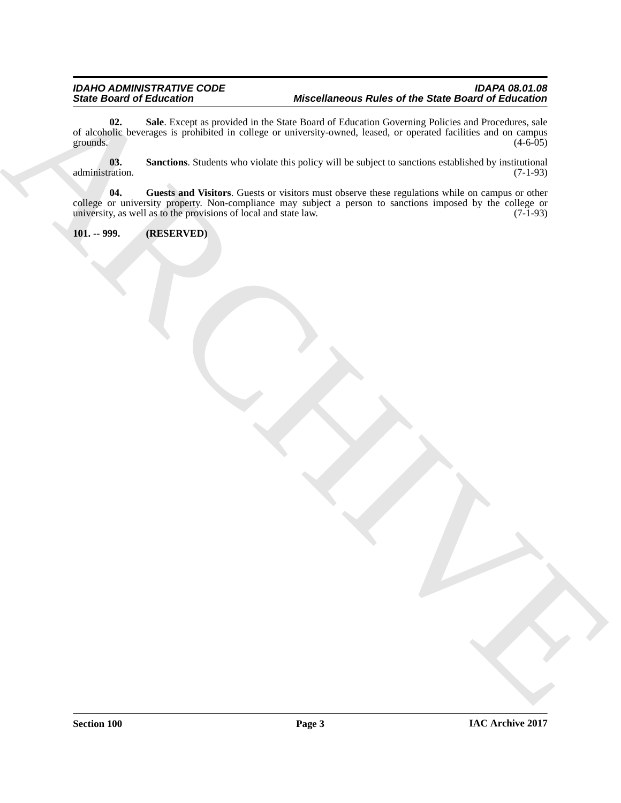#### <span id="page-2-2"></span>*IDAHO ADMINISTRATIVE CODE IDAPA 08.01.08 State Board of Education Miscellaneous Rules of the State Board of Education*

Since Good of Elision form a proposition in the set of the Since Board of Education School of Education Section<br>of the set of the set of the set of the set of the set of the set of the set of the set of the set of the set **02. Sale**. Except as provided in the State Board of Education Governing Policies and Procedures, sale of alcoholic beverages is prohibited in college or university-owned, leased, or operated facilities and on campus grounds. (4-6-05) grounds.  $(4-6-05)$ 

<span id="page-2-3"></span>**03.** Sanctions. Students who violate this policy will be subject to sanctions established by institutional (7-1-93) administration.

<span id="page-2-1"></span>**04. Guests and Visitors**. Guests or visitors must observe these regulations while on campus or other college or university property. Non-compliance may subject a person to sanctions imposed by the college or university, as well as to the provisions of local and state law.

#### <span id="page-2-0"></span>**101. -- 999. (RESERVED)**